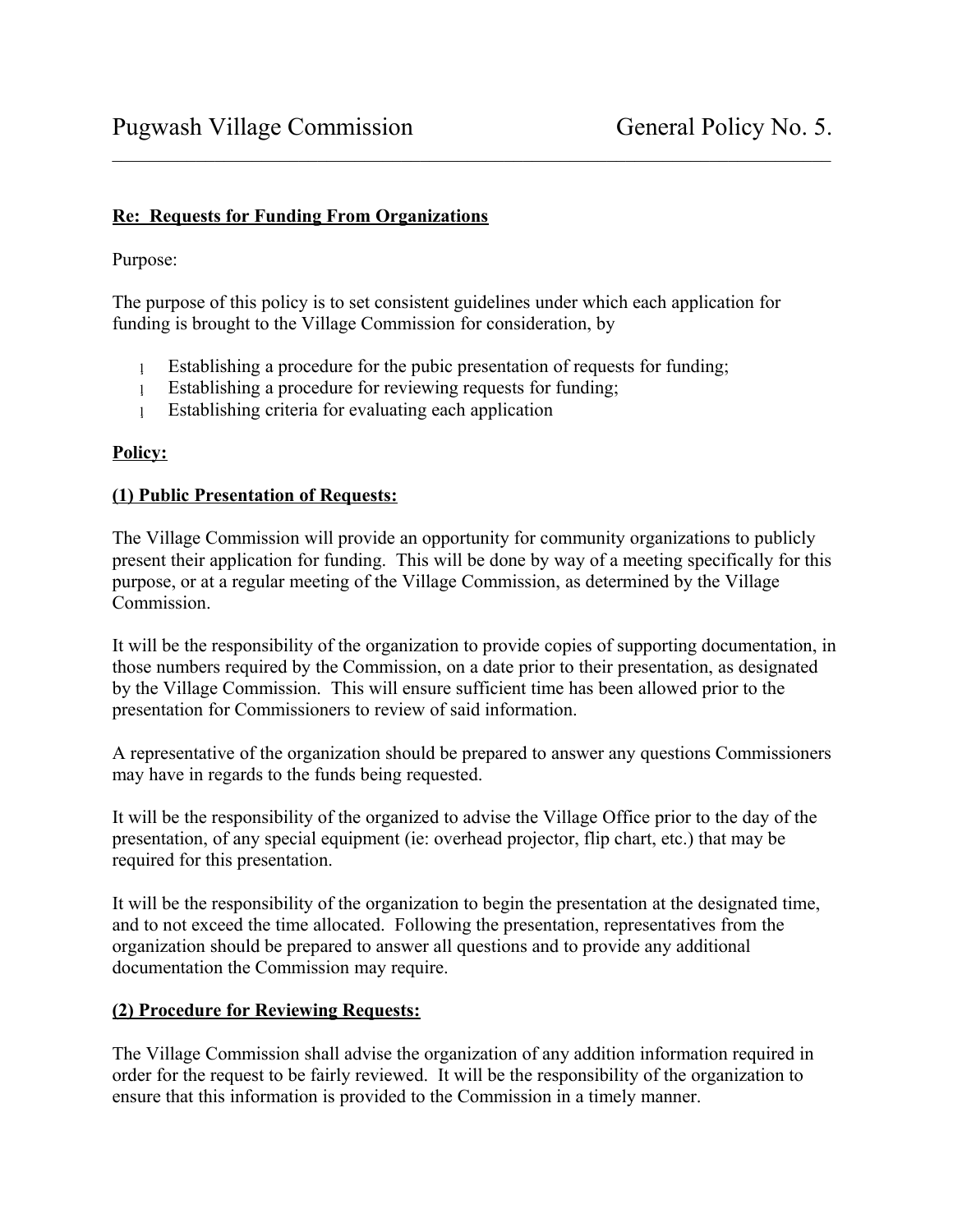## **Re: Requests for Funding From Organizations**

Purpose:

The purpose of this policy is to set consistent guidelines under which each application for funding is brought to the Village Commission for consideration, by

 $\mathcal{L}_\mathcal{L} = \{ \mathcal{L}_\mathcal{L} = \{ \mathcal{L}_\mathcal{L} = \{ \mathcal{L}_\mathcal{L} = \{ \mathcal{L}_\mathcal{L} = \{ \mathcal{L}_\mathcal{L} = \{ \mathcal{L}_\mathcal{L} = \{ \mathcal{L}_\mathcal{L} = \{ \mathcal{L}_\mathcal{L} = \{ \mathcal{L}_\mathcal{L} = \{ \mathcal{L}_\mathcal{L} = \{ \mathcal{L}_\mathcal{L} = \{ \mathcal{L}_\mathcal{L} = \{ \mathcal{L}_\mathcal{L} = \{ \mathcal{L}_\mathcal{$ 

- Establishing a procedure for the pubic presentation of requests for funding;
- Establishing a procedure for reviewing requests for funding;
- Establishing criteria for evaluating each application

# **Policy:**

# **(1) Public Presentation of Requests:**

The Village Commission will provide an opportunity for community organizations to publicly present their application for funding. This will be done by way of a meeting specifically for this purpose, or at a regular meeting of the Village Commission, as determined by the Village Commission.

It will be the responsibility of the organization to provide copies of supporting documentation, in those numbers required by the Commission, on a date prior to their presentation, as designated by the Village Commission. This will ensure sufficient time has been allowed prior to the presentation for Commissioners to review of said information.

A representative of the organization should be prepared to answer any questions Commissioners may have in regards to the funds being requested.

It will be the responsibility of the organized to advise the Village Office prior to the day of the presentation, of any special equipment (ie: overhead projector, flip chart, etc.) that may be required for this presentation.

It will be the responsibility of the organization to begin the presentation at the designated time, and to not exceed the time allocated. Following the presentation, representatives from the organization should be prepared to answer all questions and to provide any additional documentation the Commission may require.

## **(2) Procedure for Reviewing Requests:**

The Village Commission shall advise the organization of any addition information required in order for the request to be fairly reviewed. It will be the responsibility of the organization to ensure that this information is provided to the Commission in a timely manner.